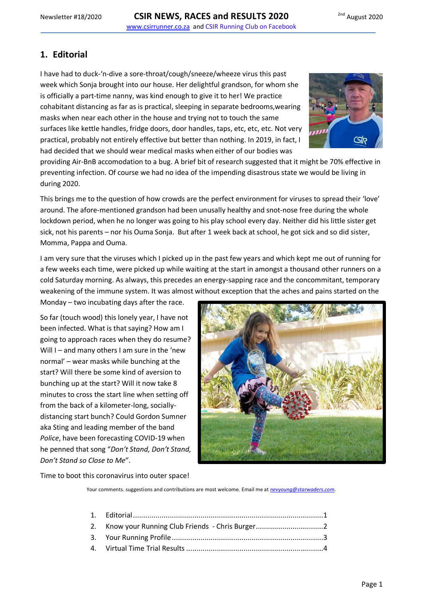# <span id="page-0-0"></span>**1. Editorial**

I have had to duck-'n-dive a sore-throat/cough/sneeze/wheeze virus this past week which Sonja brought into our house. Her delightful grandson, for whom she is officially a part-time nanny, was kind enough to give it to her! We practice cohabitant distancing as far as is practical, sleeping in separate bedrooms,wearing masks when near each other in the house and trying not to touch the same surfaces like kettle handles, fridge doors, door handles, taps, etc, etc, etc. Not very practical, probably not entirely effective but better than nothing. In 2019, in fact, I had decided that we should wear medical masks when either of our bodies was



providing Air-BnB accomodation to a bug. A brief bit of research suggested that it might be 70% effective in preventing infection. Of course we had no idea of the impending disastrous state we would be living in during 2020.

This brings me to the question of how crowds are the perfect environment for viruses to spread their 'love' around. The afore-mentioned grandson had been unusally healthy and snot-nose free during the whole lockdown period, when he no longer was going to his play school every day. Neither did his little sister get sick, not his parents – nor his Ouma Sonja. But after 1 week back at school, he got sick and so did sister, Momma, Pappa and Ouma.

I am very sure that the viruses which I picked up in the past few years and which kept me out of running for a few weeks each time, were picked up while waiting at the start in amongst a thousand other runners on a cold Saturday morning. As always, this precedes an energy-sapping race and the concommitant, temporary weakening of the immune system. It was almost without exception that the aches and pains started on the

Monday – two incubating days after the race.

So far (touch wood) this lonely year, I have not been infected. What is that saying? How am I going to approach races when they do resume? Will I – and many others I am sure in the 'new normal' – wear masks while bunching at the start? Will there be some kind of aversion to bunching up at the start? Will it now take 8 minutes to cross the start line when setting off from the back of a kilometer-long, sociallydistancing start bunch? Could Gordon Sumner aka Sting and leading member of the band *Police*, have been forecasting COVID-19 when he penned that song "*Don't Stand, Don't Stand, Don't Stand so Close to Me*".



Time to boot this coronavirus into outer space!

Your comments. suggestions and contributions are most welcome. Email me at *[nevyoung@starwaders.com](mailto:nevyoung@starwaders.com)*.

| 2. Know your Running Club Friends - Chris Burger |  |
|--------------------------------------------------|--|
|                                                  |  |
|                                                  |  |
|                                                  |  |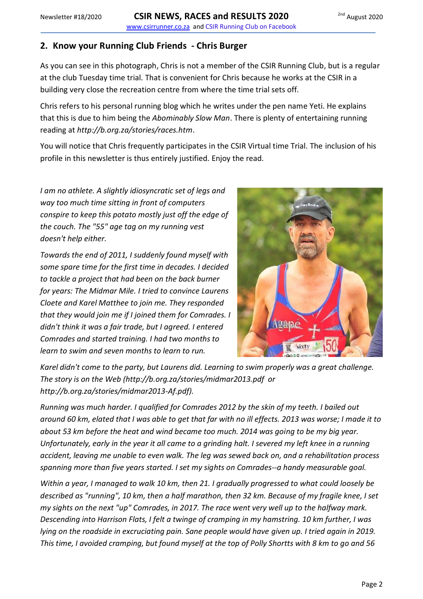## <span id="page-1-0"></span>**2. Know your Running Club Friends - Chris Burger**

As you can see in this photograph, Chris is not a member of the CSIR Running Club, but is a regular at the club Tuesday time trial. That is convenient for Chris because he works at the CSIR in a building very close the recreation centre from where the time trial sets off.

Chris refers to his personal running blog which he writes under the pen name Yeti. He explains that this is due to him being the *Abominably Slow Man*. There is plenty of entertaining running reading at *http://b.org.za/stories/races.htm*.

You will notice that Chris frequently participates in the CSIR Virtual time Trial. The inclusion of his profile in this newsletter is thus entirely justified. Enjoy the read.

*I am no athlete. A slightly idiosyncratic set of legs and way too much time sitting in front of computers conspire to keep this potato mostly just off the edge of the couch. The "55" age tag on my running vest doesn't help either.*

*Towards the end of 2011, I suddenly found myself with some spare time for the first time in decades. I decided to tackle a project that had been on the back burner for years: The Midmar Mile. I tried to convince Laurens Cloete and Karel Matthee to join me. They responded that they would join me if I joined them for Comrades. I didn't think it was a fair trade, but I agreed. I entered Comrades and started training. I had two months to learn to swim and seven months to learn to run.*



*Karel didn't come to the party, but Laurens did. Learning to swim properly was a great challenge. The story is on the Web (http://b.org.za/stories/midmar2013.pdf or http://b.org.za/stories/midmar2013-Af.pdf).*

*Running was much harder. I qualified for Comrades 2012 by the skin of my teeth. I bailed out around 60 km, elated that I was able to get that far with no ill effects. 2013 was worse; I made it to about 53 km before the heat and wind became too much. 2014 was going to be my big year. Unfortunately, early in the year it all came to a grinding halt. I severed my left knee in a running accident, leaving me unable to even walk. The leg was sewed back on, and a rehabilitation process spanning more than five years started. I set my sights on Comrades--a handy measurable goal.*

*Within a year, I managed to walk 10 km, then 21. I gradually progressed to what could loosely be described as "running", 10 km, then a half marathon, then 32 km. Because of my fragile knee, I set my sights on the next "up" Comrades, in 2017. The race went very well up to the halfway mark. Descending into Harrison Flats, I felt a twinge of cramping in my hamstring. 10 km further, I was lying on the roadside in excruciating pain. Sane people would have given up. I tried again in 2019. This time, I avoided cramping, but found myself at the top of Polly Shortts with 8 km to go and 56*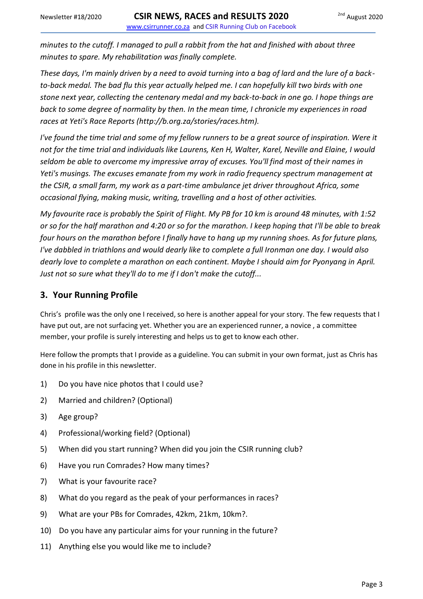*minutes to the cutoff. I managed to pull a rabbit from the hat and finished with about three minutes to spare. My rehabilitation was finally complete.*

*These days, I'm mainly driven by a need to avoid turning into a bag of lard and the lure of a backto-back medal. The bad flu this year actually helped me. I can hopefully kill two birds with one stone next year, collecting the centenary medal and my back-to-back in one go. I hope things are back to some degree of normality by then. In the mean time, I chronicle my experiences in road races at Yeti's Race Reports (http://b.org.za/stories/races.htm).*

*I've found the time trial and some of my fellow runners to be a great source of inspiration. Were it not for the time trial and individuals like Laurens, Ken H, Walter, Karel, Neville and Elaine, I would seldom be able to overcome my impressive array of excuses. You'll find most of their names in Yeti's musings. The excuses emanate from my work in radio frequency spectrum management at the CSIR, a small farm, my work as a part-time ambulance jet driver throughout Africa, some occasional flying, making music, writing, travelling and a host of other activities.*

*My favourite race is probably the Spirit of Flight. My PB for 10 km is around 48 minutes, with 1:52 or so for the half marathon and 4:20 or so for the marathon. I keep hoping that I'll be able to break four hours on the marathon before I finally have to hang up my running shoes. As for future plans, I've dabbled in triathlons and would dearly like to complete a full Ironman one day. I would also dearly love to complete a marathon on each continent. Maybe I should aim for Pyonyang in April. Just not so sure what they'll do to me if I don't make the cutoff...*

### <span id="page-2-0"></span>**3. Your Running Profile**

Chris's profile was the only one I received, so here is another appeal for your story. The few requests that I have put out, are not surfacing yet. Whether you are an experienced runner, a novice , a committee member, your profile is surely interesting and helps us to get to know each other.

Here follow the prompts that I provide as a guideline. You can submit in your own format, just as Chris has done in his profile in this newsletter.

- 1) Do you have nice photos that I could use?
- 2) Married and children? (Optional)
- 3) Age group?
- 4) Professional/working field? (Optional)
- 5) When did you start running? When did you join the CSIR running club?
- 6) Have you run Comrades? How many times?
- 7) What is your favourite race?
- 8) What do you regard as the peak of your performances in races?
- 9) What are your PBs for Comrades, 42km, 21km, 10km?.
- 10) Do you have any particular aims for your running in the future?
- 11) Anything else you would like me to include?